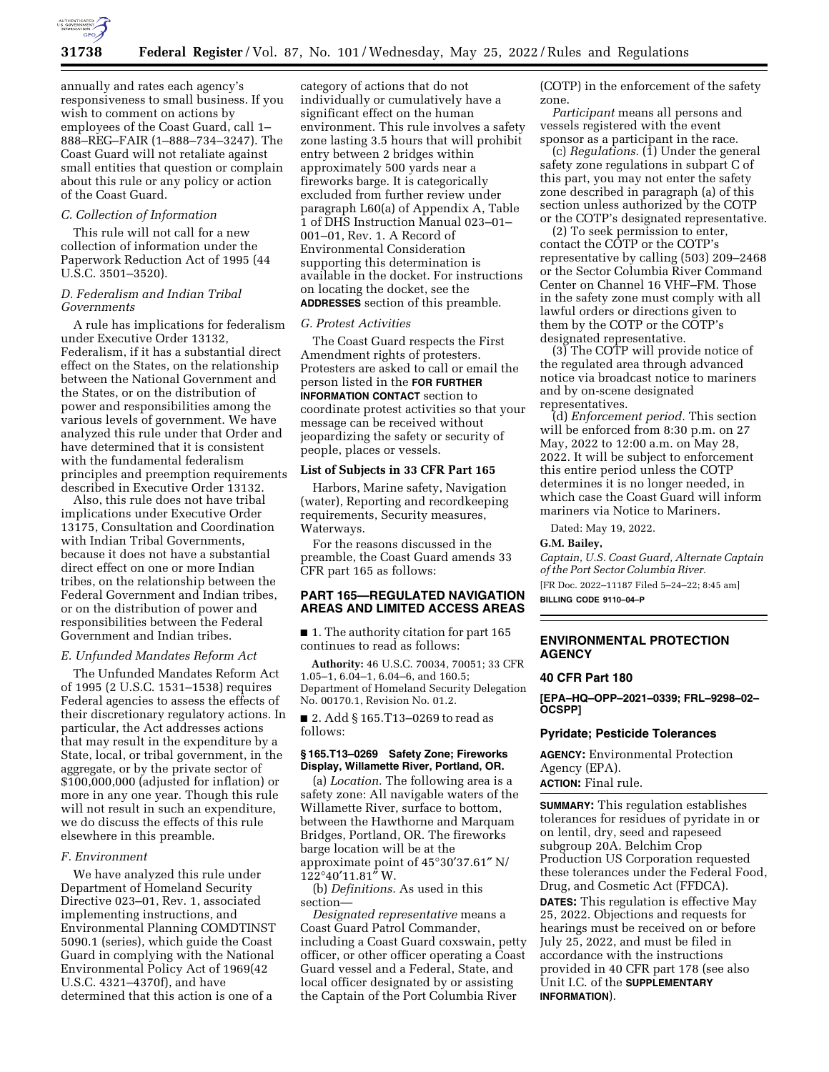

annually and rates each agency's responsiveness to small business. If you wish to comment on actions by employees of the Coast Guard, call 1– 888–REG–FAIR (1–888–734–3247). The Coast Guard will not retaliate against small entities that question or complain about this rule or any policy or action of the Coast Guard.

### *C. Collection of Information*

This rule will not call for a new collection of information under the Paperwork Reduction Act of 1995 (44 U.S.C. 3501–3520).

## *D. Federalism and Indian Tribal Governments*

A rule has implications for federalism under Executive Order 13132, Federalism, if it has a substantial direct effect on the States, on the relationship between the National Government and the States, or on the distribution of power and responsibilities among the various levels of government. We have analyzed this rule under that Order and have determined that it is consistent with the fundamental federalism principles and preemption requirements described in Executive Order 13132.

Also, this rule does not have tribal implications under Executive Order 13175, Consultation and Coordination with Indian Tribal Governments, because it does not have a substantial direct effect on one or more Indian tribes, on the relationship between the Federal Government and Indian tribes, or on the distribution of power and responsibilities between the Federal Government and Indian tribes.

# *E. Unfunded Mandates Reform Act*

The Unfunded Mandates Reform Act of 1995 (2 U.S.C. 1531–1538) requires Federal agencies to assess the effects of their discretionary regulatory actions. In particular, the Act addresses actions that may result in the expenditure by a State, local, or tribal government, in the aggregate, or by the private sector of \$100,000,000 (adjusted for inflation) or more in any one year. Though this rule will not result in such an expenditure, we do discuss the effects of this rule elsewhere in this preamble.

### *F. Environment*

We have analyzed this rule under Department of Homeland Security Directive 023–01, Rev. 1, associated implementing instructions, and Environmental Planning COMDTINST 5090.1 (series), which guide the Coast Guard in complying with the National Environmental Policy Act of 1969(42 U.S.C. 4321–4370f), and have determined that this action is one of a

category of actions that do not individually or cumulatively have a significant effect on the human environment. This rule involves a safety zone lasting 3.5 hours that will prohibit entry between 2 bridges within approximately 500 yards near a fireworks barge. It is categorically excluded from further review under paragraph L60(a) of Appendix A, Table 1 of DHS Instruction Manual 023–01– 001–01, Rev. 1. A Record of Environmental Consideration supporting this determination is available in the docket. For instructions on locating the docket, see the **ADDRESSES** section of this preamble.

#### *G. Protest Activities*

The Coast Guard respects the First Amendment rights of protesters. Protesters are asked to call or email the person listed in the **FOR FURTHER INFORMATION CONTACT** section to coordinate protest activities so that your message can be received without jeopardizing the safety or security of people, places or vessels.

### **List of Subjects in 33 CFR Part 165**

Harbors, Marine safety, Navigation (water), Reporting and recordkeeping requirements, Security measures, Waterways.

For the reasons discussed in the preamble, the Coast Guard amends 33 CFR part 165 as follows:

## **PART 165—REGULATED NAVIGATION AREAS AND LIMITED ACCESS AREAS**

■ 1. The authority citation for part 165 continues to read as follows:

**Authority:** 46 U.S.C. 70034, 70051; 33 CFR 1.05–1, 6.04–1, 6.04–6, and 160.5; Department of Homeland Security Delegation No. 00170.1, Revision No. 01.2.

■ 2. Add § 165.T13–0269 to read as follows:

### **§ 165.T13–0269 Safety Zone; Fireworks Display, Willamette River, Portland, OR.**

(a) *Location.* The following area is a safety zone: All navigable waters of the Willamette River, surface to bottom, between the Hawthorne and Marquam Bridges, Portland, OR. The fireworks barge location will be at the approximate point of 45°30′37.61″ N/  $122^{\circ}40'11.81''$  W.

(b) *Definitions.* As used in this section—

*Designated representative* means a Coast Guard Patrol Commander, including a Coast Guard coxswain, petty officer, or other officer operating a Coast Guard vessel and a Federal, State, and local officer designated by or assisting the Captain of the Port Columbia River

(COTP) in the enforcement of the safety zone.

*Participant* means all persons and vessels registered with the event sponsor as a participant in the race.

(c) *Regulations.* (1) Under the general safety zone regulations in subpart C of this part, you may not enter the safety zone described in paragraph (a) of this section unless authorized by the COTP or the COTP's designated representative.

(2) To seek permission to enter, contact the COTP or the COTP's representative by calling (503) 209–2468 or the Sector Columbia River Command Center on Channel 16 VHF–FM. Those in the safety zone must comply with all lawful orders or directions given to them by the COTP or the COTP's designated representative.

(3) The COTP will provide notice of the regulated area through advanced notice via broadcast notice to mariners and by on-scene designated representatives.

(d) *Enforcement period.* This section will be enforced from 8:30 p.m. on 27 May, 2022 to 12:00 a.m. on May 28, 2022. It will be subject to enforcement this entire period unless the COTP determines it is no longer needed, in which case the Coast Guard will inform mariners via Notice to Mariners.

Dated: May 19, 2022.

#### **G.M. Bailey,**

*Captain, U.S. Coast Guard, Alternate Captain of the Port Sector Columbia River.* 

[FR Doc. 2022–11187 Filed 5–24–22; 8:45 am] **BILLING CODE 9110–04–P** 

## **ENVIRONMENTAL PROTECTION AGENCY**

#### **40 CFR Part 180**

**[EPA–HQ–OPP–2021–0339; FRL–9298–02– OCSPP]** 

### **Pyridate; Pesticide Tolerances**

**AGENCY:** Environmental Protection Agency (EPA). **ACTION:** Final rule.

**SUMMARY:** This regulation establishes tolerances for residues of pyridate in or on lentil, dry, seed and rapeseed subgroup 20A. Belchim Crop Production US Corporation requested these tolerances under the Federal Food, Drug, and Cosmetic Act (FFDCA). **DATES:** This regulation is effective May 25, 2022. Objections and requests for hearings must be received on or before July 25, 2022, and must be filed in accordance with the instructions provided in 40 CFR part 178 (see also Unit I.C. of the **SUPPLEMENTARY INFORMATION**).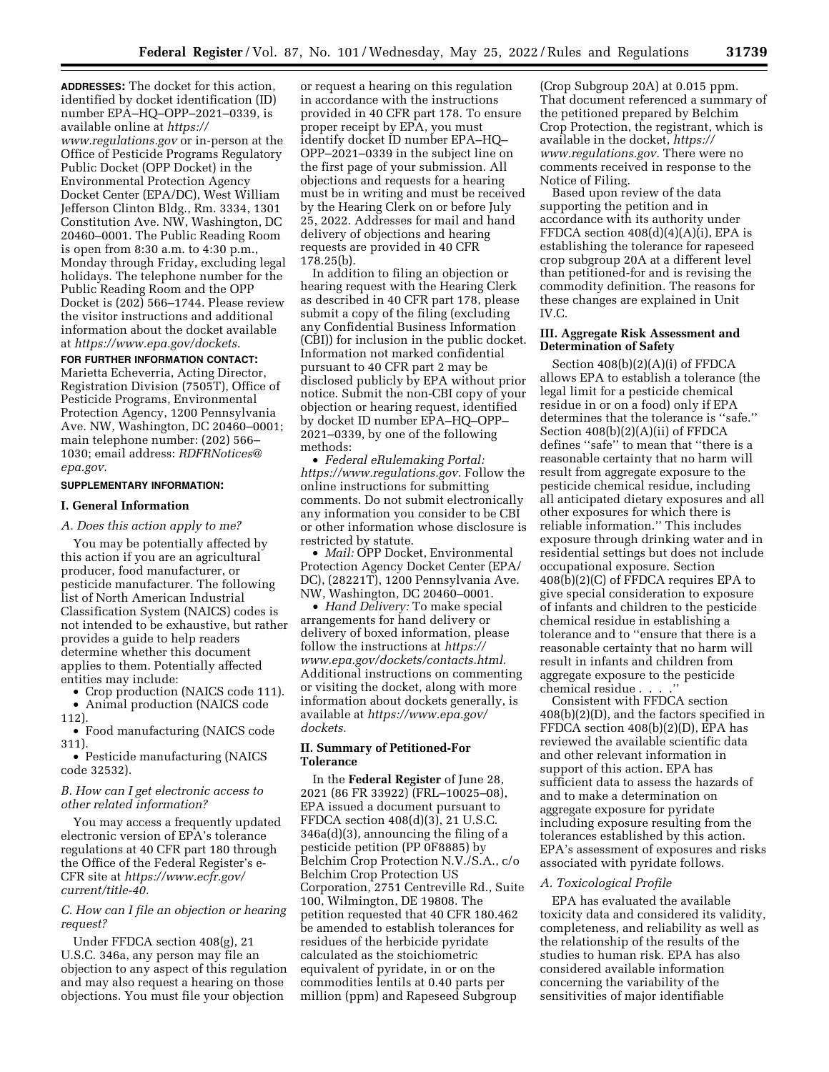**ADDRESSES:** The docket for this action, identified by docket identification (ID) number EPA–HQ–OPP–2021–0339, is available online at *[https://](https://www.regulations.gov)* 

*[www.regulations.gov](https://www.regulations.gov)* or in-person at the Office of Pesticide Programs Regulatory Public Docket (OPP Docket) in the Environmental Protection Agency Docket Center (EPA/DC), West William Jefferson Clinton Bldg., Rm. 3334, 1301 Constitution Ave. NW, Washington, DC 20460–0001. The Public Reading Room is open from 8:30 a.m. to 4:30 p.m., Monday through Friday, excluding legal holidays. The telephone number for the Public Reading Room and the OPP Docket is (202) 566–1744. Please review the visitor instructions and additional information about the docket available at *[https://www.epa.gov/dockets.](https://www.epa.gov/dockets)* 

## **FOR FURTHER INFORMATION CONTACT:**

Marietta Echeverria, Acting Director, Registration Division (7505T), Office of Pesticide Programs, Environmental Protection Agency, 1200 Pennsylvania Ave. NW, Washington, DC 20460–0001; main telephone number: (202) 566– 1030; email address: *[RDFRNotices@](mailto:RDFRNotices@epa.gov) [epa.gov.](mailto:RDFRNotices@epa.gov)* 

#### **SUPPLEMENTARY INFORMATION:**

#### **I. General Information**

*A. Does this action apply to me?* 

You may be potentially affected by this action if you are an agricultural producer, food manufacturer, or pesticide manufacturer. The following list of North American Industrial Classification System (NAICS) codes is not intended to be exhaustive, but rather provides a guide to help readers determine whether this document applies to them. Potentially affected entities may include:

• Crop production (NAICS code 111). • Animal production (NAICS code 112).

• Food manufacturing (NAICS code 311).

• Pesticide manufacturing (NAICS code 32532).

### *B. How can I get electronic access to other related information?*

You may access a frequently updated electronic version of EPA's tolerance regulations at 40 CFR part 180 through the Office of the Federal Register's e-CFR site at *[https://www.ecfr.gov/](https://www.ecfr.gov/current/title-40) [current/title-40.](https://www.ecfr.gov/current/title-40)* 

### *C. How can I file an objection or hearing request?*

Under FFDCA section 408(g), 21 U.S.C. 346a, any person may file an objection to any aspect of this regulation and may also request a hearing on those objections. You must file your objection

or request a hearing on this regulation in accordance with the instructions provided in 40 CFR part 178. To ensure proper receipt by EPA, you must identify docket ID number EPA–HQ– OPP–2021–0339 in the subject line on the first page of your submission. All objections and requests for a hearing must be in writing and must be received by the Hearing Clerk on or before July 25, 2022. Addresses for mail and hand delivery of objections and hearing requests are provided in 40 CFR 178.25(b).

In addition to filing an objection or hearing request with the Hearing Clerk as described in 40 CFR part 178, please submit a copy of the filing (excluding any Confidential Business Information (CBI)) for inclusion in the public docket. Information not marked confidential pursuant to 40 CFR part 2 may be disclosed publicly by EPA without prior notice. Submit the non-CBI copy of your objection or hearing request, identified by docket ID number EPA–HQ–OPP– 2021–0339, by one of the following methods:

• *Federal eRulemaking Portal: [https://www.regulations.gov.](https://www.regulations.gov)* Follow the online instructions for submitting comments. Do not submit electronically any information you consider to be CBI or other information whose disclosure is restricted by statute.

• *Mail:* OPP Docket, Environmental Protection Agency Docket Center (EPA/ DC), (28221T), 1200 Pennsylvania Ave. NW, Washington, DC 20460–0001.

• *Hand Delivery:* To make special arrangements for hand delivery or delivery of boxed information, please follow the instructions at *[https://](https://www.epa.gov/dockets/contacts.html)  [www.epa.gov/dockets/contacts.html.](https://www.epa.gov/dockets/contacts.html)*  Additional instructions on commenting or visiting the docket, along with more information about dockets generally, is available at *[https://www.epa.gov/](https://www.epa.gov/dockets) [dockets.](https://www.epa.gov/dockets)* 

## **II. Summary of Petitioned-For Tolerance**

In the **Federal Register** of June 28, 2021 (86 FR 33922) (FRL–10025–08), EPA issued a document pursuant to FFDCA section 408(d)(3), 21 U.S.C. 346a(d)(3), announcing the filing of a pesticide petition (PP 0F8885) by Belchim Crop Protection N.V./S.A., c/o Belchim Crop Protection US Corporation, 2751 Centreville Rd., Suite 100, Wilmington, DE 19808. The petition requested that 40 CFR 180.462 be amended to establish tolerances for residues of the herbicide pyridate calculated as the stoichiometric equivalent of pyridate, in or on the commodities lentils at 0.40 parts per million (ppm) and Rapeseed Subgroup

(Crop Subgroup 20A) at 0.015 ppm. That document referenced a summary of the petitioned prepared by Belchim Crop Protection, the registrant, which is available in the docket, *[https://](https://www.regulations.gov)  [www.regulations.gov.](https://www.regulations.gov)* There were no comments received in response to the Notice of Filing.

Based upon review of the data supporting the petition and in accordance with its authority under FFDCA section  $408(d)(4)(A)(i)$ , EPA is establishing the tolerance for rapeseed crop subgroup 20A at a different level than petitioned-for and is revising the commodity definition. The reasons for these changes are explained in Unit IV.C.

# **III. Aggregate Risk Assessment and Determination of Safety**

Section 408(b)(2)(A)(i) of FFDCA allows EPA to establish a tolerance (the legal limit for a pesticide chemical residue in or on a food) only if EPA determines that the tolerance is ''safe.'' Section 408(b)(2)(A)(ii) of FFDCA defines ''safe'' to mean that ''there is a reasonable certainty that no harm will result from aggregate exposure to the pesticide chemical residue, including all anticipated dietary exposures and all other exposures for which there is reliable information.'' This includes exposure through drinking water and in residential settings but does not include occupational exposure. Section 408(b)(2)(C) of FFDCA requires EPA to give special consideration to exposure of infants and children to the pesticide chemical residue in establishing a tolerance and to ''ensure that there is a reasonable certainty that no harm will result in infants and children from aggregate exposure to the pesticide chemical residue . . . .''

Consistent with FFDCA section 408(b)(2)(D), and the factors specified in FFDCA section 408(b)(2)(D), EPA has reviewed the available scientific data and other relevant information in support of this action. EPA has sufficient data to assess the hazards of and to make a determination on aggregate exposure for pyridate including exposure resulting from the tolerances established by this action. EPA's assessment of exposures and risks associated with pyridate follows.

### *A. Toxicological Profile*

EPA has evaluated the available toxicity data and considered its validity, completeness, and reliability as well as the relationship of the results of the studies to human risk. EPA has also considered available information concerning the variability of the sensitivities of major identifiable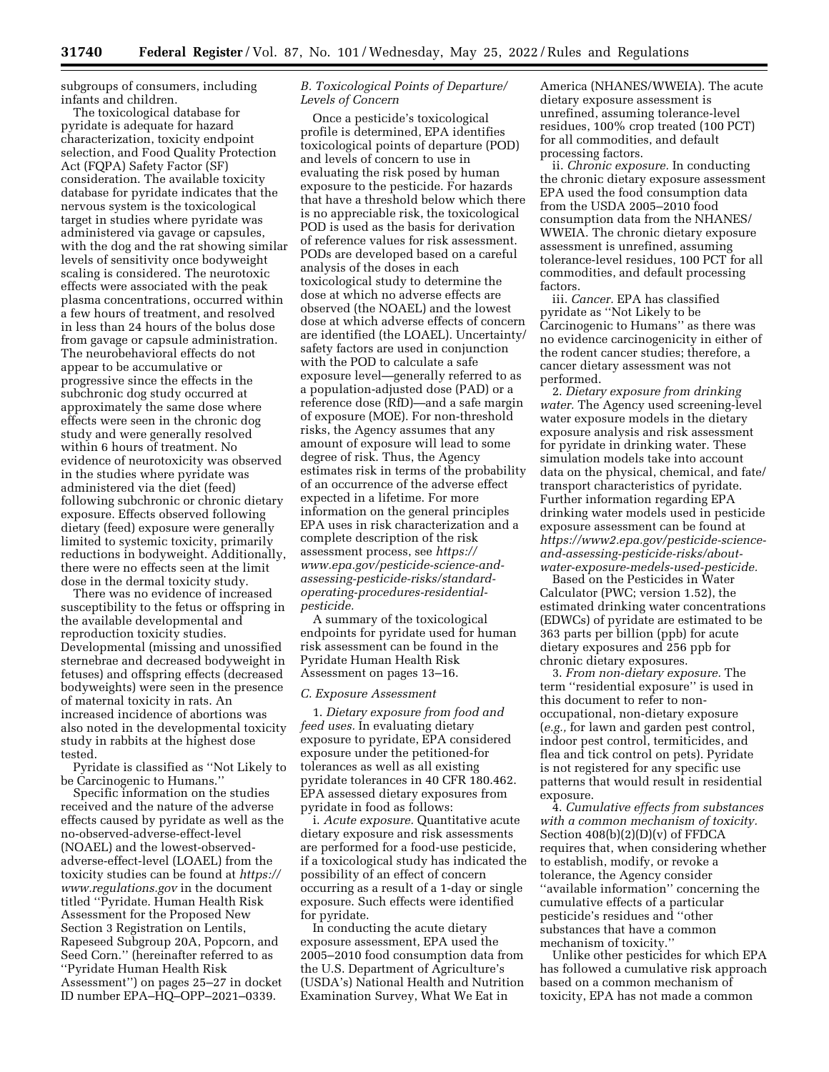subgroups of consumers, including infants and children.

The toxicological database for pyridate is adequate for hazard characterization, toxicity endpoint selection, and Food Quality Protection Act (FQPA) Safety Factor (SF) consideration. The available toxicity database for pyridate indicates that the nervous system is the toxicological target in studies where pyridate was administered via gavage or capsules, with the dog and the rat showing similar levels of sensitivity once bodyweight scaling is considered. The neurotoxic effects were associated with the peak plasma concentrations, occurred within a few hours of treatment, and resolved in less than 24 hours of the bolus dose from gavage or capsule administration. The neurobehavioral effects do not appear to be accumulative or progressive since the effects in the subchronic dog study occurred at approximately the same dose where effects were seen in the chronic dog study and were generally resolved within 6 hours of treatment. No evidence of neurotoxicity was observed in the studies where pyridate was administered via the diet (feed) following subchronic or chronic dietary exposure. Effects observed following dietary (feed) exposure were generally limited to systemic toxicity, primarily reductions in bodyweight. Additionally, there were no effects seen at the limit dose in the dermal toxicity study.

There was no evidence of increased susceptibility to the fetus or offspring in the available developmental and reproduction toxicity studies. Developmental (missing and unossified sternebrae and decreased bodyweight in fetuses) and offspring effects (decreased bodyweights) were seen in the presence of maternal toxicity in rats. An increased incidence of abortions was also noted in the developmental toxicity study in rabbits at the highest dose tested.

Pyridate is classified as ''Not Likely to be Carcinogenic to Humans.''

Specific information on the studies received and the nature of the adverse effects caused by pyridate as well as the no-observed-adverse-effect-level (NOAEL) and the lowest-observedadverse-effect-level (LOAEL) from the toxicity studies can be found at *[https://](https://www.regulations.gov) [www.regulations.gov](https://www.regulations.gov)* in the document titled ''Pyridate. Human Health Risk Assessment for the Proposed New Section 3 Registration on Lentils, Rapeseed Subgroup 20A, Popcorn, and Seed Corn.'' (hereinafter referred to as ''Pyridate Human Health Risk Assessment'') on pages 25–27 in docket ID number EPA–HQ–OPP–2021–0339.

## *B. Toxicological Points of Departure/ Levels of Concern*

Once a pesticide's toxicological profile is determined, EPA identifies toxicological points of departure (POD) and levels of concern to use in evaluating the risk posed by human exposure to the pesticide. For hazards that have a threshold below which there is no appreciable risk, the toxicological POD is used as the basis for derivation of reference values for risk assessment. PODs are developed based on a careful analysis of the doses in each toxicological study to determine the dose at which no adverse effects are observed (the NOAEL) and the lowest dose at which adverse effects of concern are identified (the LOAEL). Uncertainty/ safety factors are used in conjunction with the POD to calculate a safe exposure level—generally referred to as a population-adjusted dose (PAD) or a reference dose (RfD)—and a safe margin of exposure (MOE). For non-threshold risks, the Agency assumes that any amount of exposure will lead to some degree of risk. Thus, the Agency estimates risk in terms of the probability of an occurrence of the adverse effect expected in a lifetime. For more information on the general principles EPA uses in risk characterization and a complete description of the risk assessment process, see *[https://](https://www.epa.gov/pesticide-science-and-assessing-pesticide-risks/standard-operating-procedures-residential-pesticide)  [www.epa.gov/pesticide-science-and](https://www.epa.gov/pesticide-science-and-assessing-pesticide-risks/standard-operating-procedures-residential-pesticide)[assessing-pesticide-risks/standard](https://www.epa.gov/pesticide-science-and-assessing-pesticide-risks/standard-operating-procedures-residential-pesticide)[operating-procedures-residential](https://www.epa.gov/pesticide-science-and-assessing-pesticide-risks/standard-operating-procedures-residential-pesticide)[pesticide.](https://www.epa.gov/pesticide-science-and-assessing-pesticide-risks/standard-operating-procedures-residential-pesticide)* 

A summary of the toxicological endpoints for pyridate used for human risk assessment can be found in the Pyridate Human Health Risk Assessment on pages 13–16.

#### *C. Exposure Assessment*

1. *Dietary exposure from food and feed uses.* In evaluating dietary exposure to pyridate, EPA considered exposure under the petitioned-for tolerances as well as all existing pyridate tolerances in 40 CFR 180.462. EPA assessed dietary exposures from pyridate in food as follows:

i. *Acute exposure.* Quantitative acute dietary exposure and risk assessments are performed for a food-use pesticide, if a toxicological study has indicated the possibility of an effect of concern occurring as a result of a 1-day or single exposure. Such effects were identified for pyridate.

In conducting the acute dietary exposure assessment, EPA used the 2005–2010 food consumption data from the U.S. Department of Agriculture's (USDA's) National Health and Nutrition Examination Survey, What We Eat in

America (NHANES/WWEIA). The acute dietary exposure assessment is unrefined, assuming tolerance-level residues, 100% crop treated (100 PCT) for all commodities, and default processing factors.

ii. *Chronic exposure.* In conducting the chronic dietary exposure assessment EPA used the food consumption data from the USDA 2005–2010 food consumption data from the NHANES/ WWEIA. The chronic dietary exposure assessment is unrefined, assuming tolerance-level residues, 100 PCT for all commodities, and default processing factors.

iii. *Cancer.* EPA has classified pyridate as ''Not Likely to be Carcinogenic to Humans'' as there was no evidence carcinogenicity in either of the rodent cancer studies; therefore, a cancer dietary assessment was not performed.

2. *Dietary exposure from drinking water.* The Agency used screening-level water exposure models in the dietary exposure analysis and risk assessment for pyridate in drinking water. These simulation models take into account data on the physical, chemical, and fate/ transport characteristics of pyridate. Further information regarding EPA drinking water models used in pesticide exposure assessment can be found at *[https://www2.epa.gov/pesticide-science](https://www2.epa.gov/pesticide-science-and-assessing-pesticide-risks/about-water-exposure-models-used-pesticide)[and-assessing-pesticide-risks/about](https://www2.epa.gov/pesticide-science-and-assessing-pesticide-risks/about-water-exposure-models-used-pesticide)[water-exposure-medels-used-pesticide.](https://www2.epa.gov/pesticide-science-and-assessing-pesticide-risks/about-water-exposure-models-used-pesticide)* 

Based on the Pesticides in Water Calculator (PWC; version 1.52), the estimated drinking water concentrations (EDWCs) of pyridate are estimated to be 363 parts per billion (ppb) for acute dietary exposures and 256 ppb for chronic dietary exposures.

3. *From non-dietary exposure.* The term ''residential exposure'' is used in this document to refer to nonoccupational, non-dietary exposure (*e.g.,* for lawn and garden pest control, indoor pest control, termiticides, and flea and tick control on pets). Pyridate is not registered for any specific use patterns that would result in residential exposure.

4. *Cumulative effects from substances with a common mechanism of toxicity.*  Section 408(b)(2)(D)(v) of FFDCA requires that, when considering whether to establish, modify, or revoke a tolerance, the Agency consider ''available information'' concerning the cumulative effects of a particular pesticide's residues and ''other substances that have a common mechanism of toxicity.

Unlike other pesticides for which EPA has followed a cumulative risk approach based on a common mechanism of toxicity, EPA has not made a common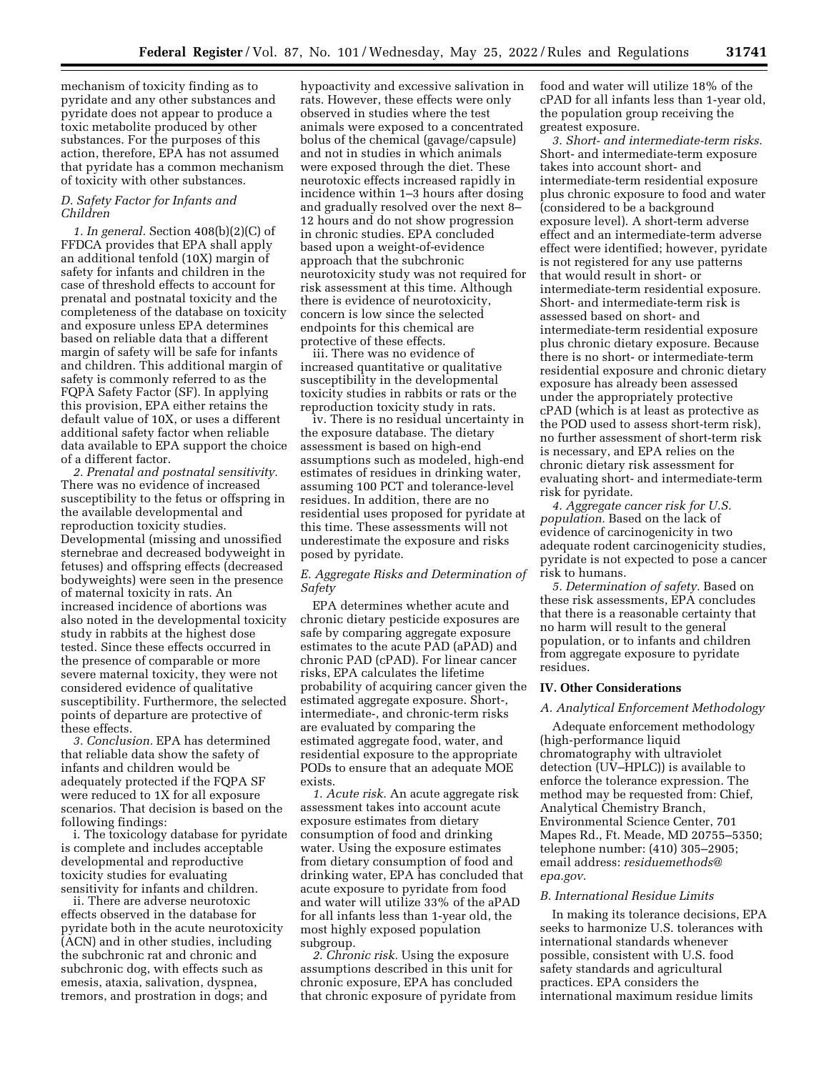mechanism of toxicity finding as to pyridate and any other substances and pyridate does not appear to produce a toxic metabolite produced by other substances. For the purposes of this action, therefore, EPA has not assumed that pyridate has a common mechanism of toxicity with other substances.

## *D. Safety Factor for Infants and Children*

*1. In general.* Section 408(b)(2)(C) of FFDCA provides that EPA shall apply an additional tenfold (10X) margin of safety for infants and children in the case of threshold effects to account for prenatal and postnatal toxicity and the completeness of the database on toxicity and exposure unless EPA determines based on reliable data that a different margin of safety will be safe for infants and children. This additional margin of safety is commonly referred to as the FQPA Safety Factor (SF). In applying this provision, EPA either retains the default value of 10X, or uses a different additional safety factor when reliable data available to EPA support the choice of a different factor.

*2. Prenatal and postnatal sensitivity.*  There was no evidence of increased susceptibility to the fetus or offspring in the available developmental and reproduction toxicity studies. Developmental (missing and unossified sternebrae and decreased bodyweight in fetuses) and offspring effects (decreased bodyweights) were seen in the presence of maternal toxicity in rats. An increased incidence of abortions was also noted in the developmental toxicity study in rabbits at the highest dose tested. Since these effects occurred in the presence of comparable or more severe maternal toxicity, they were not considered evidence of qualitative susceptibility. Furthermore, the selected points of departure are protective of these effects.

*3. Conclusion.* EPA has determined that reliable data show the safety of infants and children would be adequately protected if the FQPA SF were reduced to 1X for all exposure scenarios. That decision is based on the following findings:

i. The toxicology database for pyridate is complete and includes acceptable developmental and reproductive toxicity studies for evaluating sensitivity for infants and children.

ii. There are adverse neurotoxic effects observed in the database for pyridate both in the acute neurotoxicity (ACN) and in other studies, including the subchronic rat and chronic and subchronic dog, with effects such as emesis, ataxia, salivation, dyspnea, tremors, and prostration in dogs; and

hypoactivity and excessive salivation in rats. However, these effects were only observed in studies where the test animals were exposed to a concentrated bolus of the chemical (gavage/capsule) and not in studies in which animals were exposed through the diet. These neurotoxic effects increased rapidly in incidence within 1–3 hours after dosing and gradually resolved over the next 8– 12 hours and do not show progression in chronic studies. EPA concluded based upon a weight-of-evidence approach that the subchronic neurotoxicity study was not required for risk assessment at this time. Although there is evidence of neurotoxicity, concern is low since the selected endpoints for this chemical are protective of these effects.

iii. There was no evidence of increased quantitative or qualitative susceptibility in the developmental toxicity studies in rabbits or rats or the reproduction toxicity study in rats.

iv. There is no residual uncertainty in the exposure database. The dietary assessment is based on high-end assumptions such as modeled, high-end estimates of residues in drinking water, assuming 100 PCT and tolerance-level residues. In addition, there are no residential uses proposed for pyridate at this time. These assessments will not underestimate the exposure and risks posed by pyridate.

## *E. Aggregate Risks and Determination of Safety*

EPA determines whether acute and chronic dietary pesticide exposures are safe by comparing aggregate exposure estimates to the acute PAD (aPAD) and chronic PAD (cPAD). For linear cancer risks, EPA calculates the lifetime probability of acquiring cancer given the estimated aggregate exposure. Short-, intermediate-, and chronic-term risks are evaluated by comparing the estimated aggregate food, water, and residential exposure to the appropriate PODs to ensure that an adequate MOE exists.

*1. Acute risk.* An acute aggregate risk assessment takes into account acute exposure estimates from dietary consumption of food and drinking water. Using the exposure estimates from dietary consumption of food and drinking water, EPA has concluded that acute exposure to pyridate from food and water will utilize 33% of the aPAD for all infants less than 1-year old, the most highly exposed population subgroup.

*2. Chronic risk.* Using the exposure assumptions described in this unit for chronic exposure, EPA has concluded that chronic exposure of pyridate from food and water will utilize 18% of the cPAD for all infants less than 1-year old, the population group receiving the greatest exposure.

*3. Short- and intermediate-term risks.*  Short- and intermediate-term exposure takes into account short- and intermediate-term residential exposure plus chronic exposure to food and water (considered to be a background exposure level). A short-term adverse effect and an intermediate-term adverse effect were identified; however, pyridate is not registered for any use patterns that would result in short- or intermediate-term residential exposure. Short- and intermediate-term risk is assessed based on short- and intermediate-term residential exposure plus chronic dietary exposure. Because there is no short- or intermediate-term residential exposure and chronic dietary exposure has already been assessed under the appropriately protective cPAD (which is at least as protective as the POD used to assess short-term risk), no further assessment of short-term risk is necessary, and EPA relies on the chronic dietary risk assessment for evaluating short- and intermediate-term risk for pyridate.

*4. Aggregate cancer risk for U.S. population.* Based on the lack of evidence of carcinogenicity in two adequate rodent carcinogenicity studies, pyridate is not expected to pose a cancer risk to humans.

*5. Determination of safety.* Based on these risk assessments, EPA concludes that there is a reasonable certainty that no harm will result to the general population, or to infants and children from aggregate exposure to pyridate residues.

#### **IV. Other Considerations**

#### *A. Analytical Enforcement Methodology*

Adequate enforcement methodology (high-performance liquid chromatography with ultraviolet detection (UV–HPLC)) is available to enforce the tolerance expression. The method may be requested from: Chief, Analytical Chemistry Branch, Environmental Science Center, 701 Mapes Rd., Ft. Meade, MD 20755–5350; telephone number: (410) 305–2905; email address: *[residuemethods@](mailto:residuemethods@epa.gov) [epa.gov.](mailto:residuemethods@epa.gov)* 

#### *B. International Residue Limits*

In making its tolerance decisions, EPA seeks to harmonize U.S. tolerances with international standards whenever possible, consistent with U.S. food safety standards and agricultural practices. EPA considers the international maximum residue limits